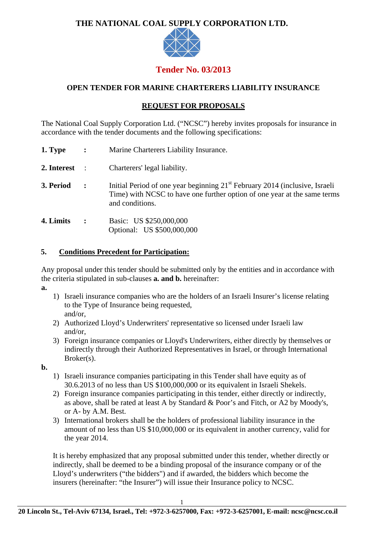# **THE NATIONAL COAL SUPPLY CORPORATION LTD.**



# **Tender No. 03/2013**

## **OPEN TENDER FOR MARINE CHARTERERS LIABILITY INSURANCE**

## **REQUEST FOR PROPOSALS**

The National Coal Supply Corporation Ltd. ("NCSC") hereby invites proposals for insurance in accordance with the tender documents and the following specifications:

- **1. Type :** Marine Charterers Liability Insurance.
- **2. Interest** : Charterers' legal liability.
- **3. Period** : Initial Period of one year beginning 21<sup>st</sup> February 2014 (inclusive, Israeli Time) with NCSC to have one further option of one year at the same terms and conditions.
- **4. Limits :** Basic: US \$250,000,000 Optional: US \$500,000,000

#### **5. Conditions Precedent for Participation:**

Any proposal under this tender should be submitted only by the entities and in accordance with the criteria stipulated in sub-clauses **a. and b.** hereinafter:

- **a.**
- 1) Israeli insurance companies who are the holders of an Israeli Insurer's license relating to the Type of Insurance being requested, and/or,
- 2) Authorized Lloyd's Underwriters' representative so licensed under Israeli law and/or,
- 3) Foreign insurance companies or Lloyd's Underwriters, either directly by themselves or indirectly through their Authorized Representatives in Israel, or through International Broker(s).
- **b.**
- 1) Israeli insurance companies participating in this Tender shall have equity as of 30.6.2013 of no less than US \$100,000,000 or its equivalent in Israeli Shekels.
- 2) Foreign insurance companies participating in this tender, either directly or indirectly, as above, shall be rated at least A by Standard & Poor's and Fitch, or A2 by Moody's, or A- by A.M. Best.
- 3) International brokers shall be the holders of professional liability insurance in the amount of no less than US \$10,000,000 or its equivalent in another currency, valid for the year 2014.

It is hereby emphasized that any proposal submitted under this tender, whether directly or indirectly, shall be deemed to be a binding proposal of the insurance company or of the Lloyd's underwriters ("the bidders") and if awarded, the bidders which become the insurers (hereinafter: "the Insurer") will issue their Insurance policy to NCSC.